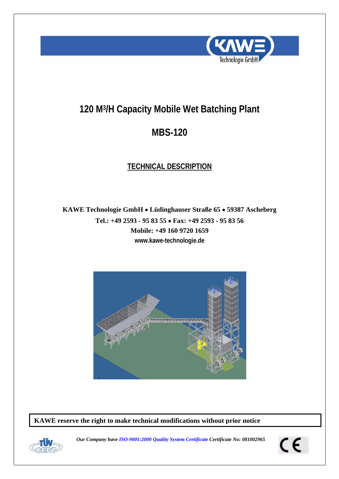

# **120 M3/H Capacity Mobile Wet Batching Plant**

# **MBS-120**

# **TECHNICAL DESCRIPTION**

**KAWE Technologie GmbH** • **Lüdinghauser Straße 65** • **59387 Ascheberg Tel.: +49 2593 - 95 83 55** • **Fax: +49 2593 - 95 83 56 Mobile: +49 160 9720 1659 www.kawe-technologie.de** 



**KAWE reserve the right to make technical modifications without prior notice** 



*Our Company have ISO-9001:2000 Quality System Certificate Certificate No: 081002965* 

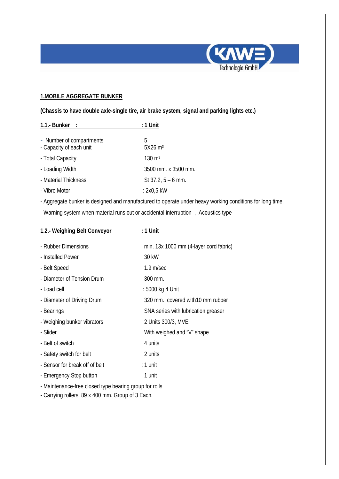

## **1.MOBILE AGGREGATE BUNKER**

**(Chassis to have double axle-single tire, air brake system, signal and parking lights etc.)** 

| 1.1.- Bunker :           | $: 1$ Unit              |
|--------------------------|-------------------------|
|                          |                         |
| - Number of compartments | : 5                     |
| - Capacity of each unit  | : $5X26$ m <sup>3</sup> |
| - Total Capacity         | : 130 $m3$              |
| - Loading Width          | : 3500 mm. x 3500 mm.   |
| - Material Thickness     | : St 37.2, $5 - 6$ mm.  |
| - Vibro Motor            | : 2x0,5 kW              |

- Aggregate bunker is designed and manufactured to operate under heavy working conditions for long time.

- Warning system when material runs out or accidental interruption , Acoustics type

| 1.2.- Weighing Belt Conveyor                           | : 1 Unit                                 |
|--------------------------------------------------------|------------------------------------------|
|                                                        |                                          |
| - Rubber Dimensions                                    | : min. 13x 1000 mm (4-layer cord fabric) |
| - Installed Power                                      | $:30$ kW                                 |
| - Belt Speed                                           | $: 1.9$ m/sec                            |
| - Diameter of Tension Drum                             | $: 300$ mm.                              |
| - Load cell                                            | : 5000 kg 4 Unit                         |
| - Diameter of Driving Drum                             | : 320 mm., covered with 10 mm rubber     |
| - Bearings                                             | : SNA series with lubrication greaser    |
| - Weighing bunker vibrators                            | : 2 Units 300/3, MVE                     |
| - Slider                                               | : With weighed and "V" shape             |
| - Belt of switch                                       | $: 4$ units                              |
| - Safety switch for belt                               | $: 2$ units                              |
| - Sensor for break off of belt                         | $: 1$ unit                               |
| - Emergency Stop button                                | : 1 unit                                 |
| - Maintenance-free closed type bearing group for rolls |                                          |

- Carrying rollers, 89 x 400 mm. Group of 3 Each.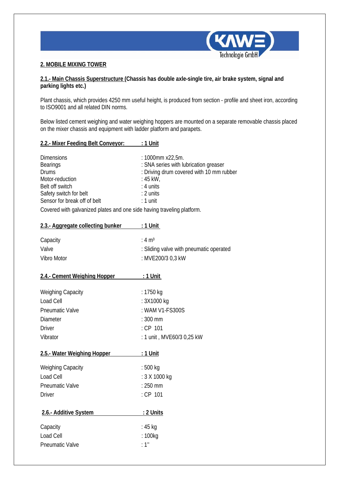

#### **2. MOBILE MIXING TOWER**

#### **2.1.- Main Chassis Superstructure (Chassis has double axle-single tire, air brake system, signal and parking lights etc.)**

Plant chassis, which provides 4250 mm useful height, is produced from section - profile and sheet iron, according to ISO9001 and all related DIN norms.

Below listed cement weighing and water weighing hoppers are mounted on a separate removable chassis placed on the mixer chassis and equipment with ladder platform and parapets.

| <b>Dimensions</b>            | $:1000$ mm x22,5m.                       |
|------------------------------|------------------------------------------|
| <b>Bearings</b>              | : SNA series with lubrication greaser    |
| Drums                        | : Driving drum covered with 10 mm rubber |
| Motor-reduction              | : 45 kW,                                 |
| Belt off switch              | $: 4$ units                              |
| Safety switch for belt       | $: 2$ units                              |
| Sensor for break off of belt | $: 1$ unit                               |
|                              |                                          |

Covered with galvanized plates and one side having traveling platform.

| 2.3.- Aggregate collecting bunker : 1 Unit |                                         |
|--------------------------------------------|-----------------------------------------|
| Capacity                                   | : $4 \text{ m}^3$                       |
| Valve                                      | : Sliding valve with pneumatic operated |
| Vibro Motor                                | : MVE200/3 0,3 kW                       |
| 2.4.- Cement Weighing Hopper               | <u>: 1 Unit</u>                         |
| <b>Weighing Capacity</b>                   | : 1750 kg                               |
| Load Cell                                  | : 3X1000 kg                             |
| <b>Pneumatic Valve</b>                     | : WAM V1-FS300S                         |
| <b>Diameter</b>                            | $: 300$ mm                              |
| <b>Driver</b>                              | $:$ CP 101                              |
| Vibrator                                   | : 1 unit, MVE60/3 0,25 kW               |
| 2.5.- Water Weighing Hopper                | <u>: 1 Unit</u>                         |
| <b>Weighing Capacity</b>                   | $:500$ kg                               |
| Load Cell                                  | : 3 X 1000 kg                           |
| <b>Pneumatic Valve</b>                     | $: 250$ mm                              |
| <b>Driver</b>                              | : CP 101                                |
| 2.6.- Additive System                      | <u>: 2 Units</u>                        |
| Capacity                                   | : 45 kg                                 |
| Load Cell                                  | : 100kg                                 |
| <b>Pneumatic Valve</b>                     | : 1''                                   |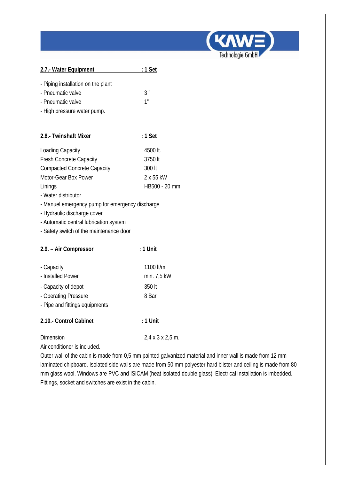

| 2.7.- Water Equipment              | : 1 Set |
|------------------------------------|---------|
| - Piping installation on the plant |         |
| - Pneumatic valve                  | :3"     |
| - Pneumatic valve                  | :1"     |
| - High pressure water pump.        |         |

| 2.8.- Twinshaft Mixer              | $: 1$ Set          |
|------------------------------------|--------------------|
|                                    |                    |
| <b>Loading Capacity</b>            | : 4500 lt.         |
| <b>Fresh Concrete Capacity</b>     | $: 3750$ It        |
| <b>Compacted Concrete Capacity</b> | : 300 lt           |
| Motor-Gear Box Power               | $: 2 \times 55$ kW |
| Linings                            | : HB500 - 20 mm    |
|                                    |                    |

- Water distributor
- Manuel emergency pump for emergency discharge
- Hydraulic discharge cover
- Automatic central lubrication system
- Safety switch of the maintenance door

| 2.9. – Air Compressor          | : 1 Unit      |
|--------------------------------|---------------|
|                                |               |
| - Capacity                     | $: 1100$ lt/m |
| - Installed Power              | : min. 7,5 kW |
| - Capacity of depot            | : 350 lt      |
| - Operating Pressure           | : 8 Bar       |
| - Pipe and fittings equipments |               |
| 2.10.- Control Cabinet         | : 1 Unit      |
|                                |               |

Dimension : 2,4 x 3 x 2,5 m.

Air conditioner is included.

Outer wall of the cabin is made from 0,5 mm painted galvanized material and inner wall is made from 12 mm laminated chipboard. Isolated side walls are made from 50 mm polyester hard blister and ceiling is made from 80 mm glass wool. Windows are PVC and ISICAM (heat isolated double glass). Electrical installation is imbedded. Fittings, socket and switches are exist in the cabin.